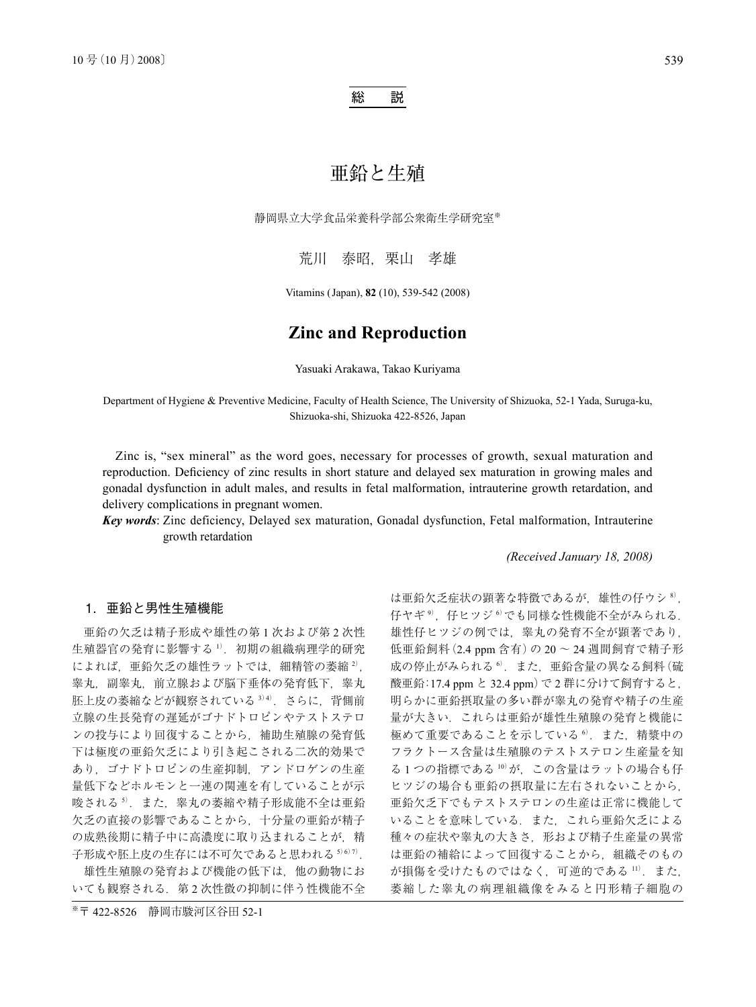### 総 説

# 亜鉛と生殖

静岡県立大学食品栄養科学部公衆衛生学研究室※

荒川 泰昭, 栗山 孝雄

Vitamins (Japan), **82** (10), 539-542 (2008)

## **Zinc and Reproduction**

Yasuaki Arakawa, Takao Kuriyama

Department of Hygiene & Preventive Medicine, Faculty of Health Science, The University of Shizuoka, 52-1 Yada, Suruga-ku, Shizuoka-shi, Shizuoka 422-8526, Japan

Zinc is, "sex mineral" as the word goes, necessary for processes of growth, sexual maturation and reproduction. Deficiency of zinc results in short stature and delayed sex maturation in growing males and gonadal dysfunction in adult males, and results in fetal malformation, intrauterine growth retardation, and delivery complications in pregnant women.

*Key words*: Zinc deficiency, Delayed sex maturation, Gonadal dysfunction, Fetal malformation, Intrauterine growth retardation

*(Received January 18, 2008)*

### 1.亜鉛と男性生殖機能

亜鉛の欠乏は精子形成や雄性の第 1 次および第 2 次性 生殖器官の発育に影響する <sup>1)</sup>. 初期の組織病理学的研究 によれば、亜鉛欠乏の雄性ラットでは、細精管の萎縮 2), 睾丸, 副睾丸, 前立腺および脳下垂体の発育低下, 睾丸 胚上皮の萎縮などが観察されている 3) 4). さらに、背側前 立腺の生長発育の遅延がゴナドトロピンやテストステロ ンの投与により回復することから,補助生殖腺の発育低 下は極度の亜鉛欠乏により引き起こされる二次的効果で あり,ゴナドトロピンの生産抑制,アンドロゲンの生産 量低下などホルモンと一連の関連を有していることが示 唆される5). また、睾丸の萎縮や精子形成能不全は亜鉛 欠乏の直接の影響であることから,十分量の亜鉛が精子 の成熟後期に精子中に高濃度に取り込まれることが、精 子形成や胚上皮の生存には不可欠であると思われる 5)6)7).

雄性生殖腺の発育および機能の低下は,他の動物にお いても観察される. 第2次性徴の抑制に伴う性機能不全

※〒 422-8526 静岡市駿河区谷田 52-1

は亜鉛欠乏症状の顕著な特徴であるが、雄性の仔ウシ<sup>8)</sup>, 仔ヤギ<sup>9)</sup>, 仔ヒツジ<sup>6</sup>でも同様な性機能不全がみられる. 雄性仔ヒツジの例では,睾丸の発育不全が顕著であり, 低亜鉛飼料(2.4 ppm 含有)の 20 ~ 24 週間飼育で精子形 成の停止がみられる<sup>6</sup>. また、亜鉛含量の異なる飼料(硫 酸亜鉛:17.4 ppm と 32.4 ppm)で 2 群に分けて飼育すると, 明らかに亜鉛摂取量の多い群が睾丸の発育や精子の生産 量が大きい.これらは亜鉛が雄性生殖腺の発育と機能に 極めて重要であることを示している<sup>6</sup>. また. 精漿中の フラクトース含量は生殖腺のテストステロン生産量を知 る1つの指標である 10)が、この含量はラットの場合も仔 ヒツジの場合も亜鉛の摂取量に左右されないことから, 亜鉛欠乏下でもテストステロンの生産は正常に機能して いることを意味している.また,これら亜鉛欠乏による 種々の症状や睾丸の大きさ,形および精子生産量の異常 は亜鉛の補給によって回復することから,組織そのもの が損傷を受けたものではなく、可逆的である 11). また, 萎縮した睾丸の病理組織像をみると円形精子細胞の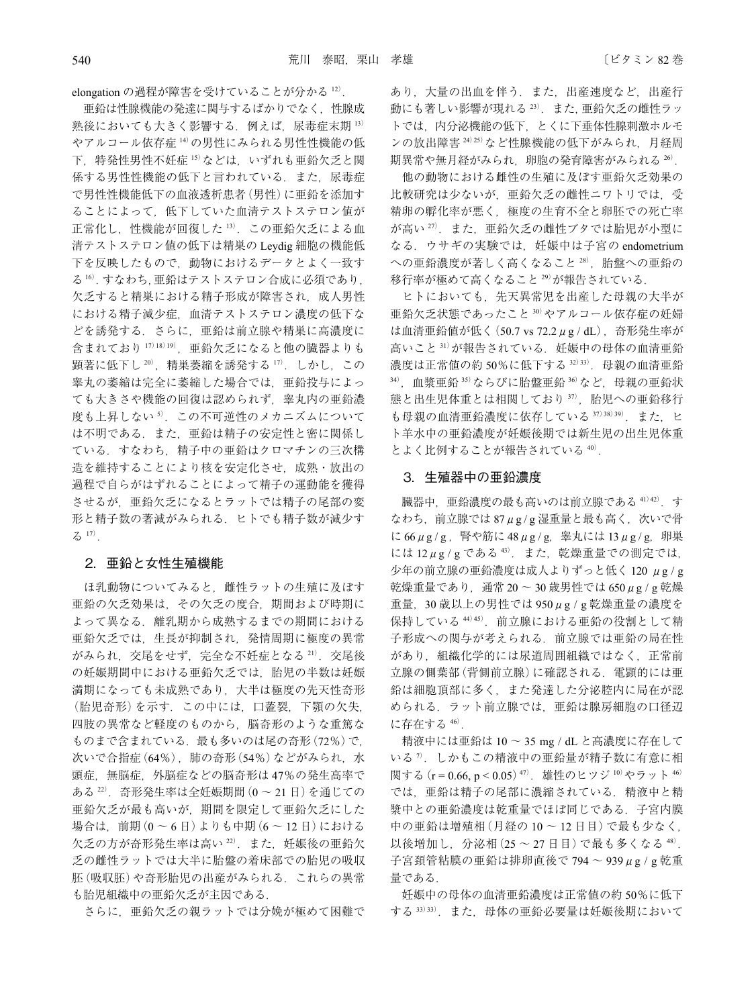elongation の過程が障害を受けていることが分かる 12).

亜鉛は性腺機能の発達に関与するばかりでなく,性腺成 熟後においても大きく影響する.例えば,尿毒症末期 <sup>13</sup>) やアルコール依存症 <sup>14</sup>)の男性にみられる男性性機能の低 下,特発性男性不妊症 <sup>15</sup>)などは,いずれも亜鉛欠乏と関 係する男性性機能の低下と言われている. また、尿毒症 で男性性機能低下の血液透析患者(男性)に亜鉛を添加す ることによって,低下していた血清テストステロン値が 正常化し,性機能が回復した <sup>13</sup>).この亜鉛欠乏による血 清テストステロン値の低下は精巣の Leydig 細胞の機能低 下を反映したもので,動物におけるデータとよく一致す る<sup>16</sup>).すなわち,亜鉛はテストステロン合成に必須であり, 欠乏すると精巣における精子形成が障害され、成人男性 における精子減少症,血清テストステロン濃度の低下な どを誘発する.さらに,亜鉛は前立腺や精巣に高濃度に 含まれており 17)18)19), 亜鉛欠乏になると他の臓器よりも 顕著に低下し $20$ , 精巣萎縮を誘発する $17$ . しかし, この 睾丸の萎縮は完全に萎縮した場合では,亜鉛投与によっ ても大きさや機能の回復は認められず,睾丸内の亜鉛濃 度も上昇しない<sup>5)</sup>. この不可逆性のメカニズムについて は不明である. また、亜鉛は精子の安定性と密に関係し ている.すなわち,精子中の亜鉛はクロマチンの三次構 造を維持することにより核を安定化させ,成熟・放出の 過程で自らがはずれることによって精子の運動能を獲得 させるが,亜鉛欠乏になるとラットでは精子の尾部の変 形と精子数の著減がみられる.ヒトでも精子数が減少す  $3^{17}$ .

#### 2. 亜鉛と女性生殖機能

ほ乳動物についてみると,雌性ラットの生殖に及ぼす 亜鉛の欠乏効果は,その欠乏の度合,期間および時期に よって異なる.離乳期から成熟するまでの期間における 亜鉛欠乏では,生長が抑制され,発情周期に極度の異常 がみられ、交尾をせず、完全な不妊症となる 21). 交尾後 の妊娠期間中における亜鉛欠乏では、胎児の半数は妊娠 満期になっても未成熟であり,大半は極度の先天性奇形 (胎児奇形)を示す.この中には,口蓋裂,下顎の欠失, 四肢の異常など軽度のものから,脳奇形のような重篤な ものまで含まれている. 最も多いのは尾の奇形(72%)で, 次いで合指症(64%), 肺の奇形(54%)などがみられ、水 頭症,無脳症,外脳症などの脳奇形は 47%の発生高率で ある <sup>22</sup>).奇形発生率は全妊娠期間(0 ~ 21 日)を通じての 亜鉛欠乏が最も高いが,期間を限定して亜鉛欠乏にした 場合は,前期(0 ~ 6 日)よりも中期(6 ~ 12 日)における 欠乏の方が奇形発生率は高い22). また、妊娠後の亜鉛欠 乏の雌性ラットでは大半に胎盤の着床部での胎児の吸収 胚(吸収胚)や奇形胎児の出産がみられる. これらの異常 も胎児組織中の亜鉛欠乏が主因である.

さらに,亜鉛欠乏の親ラットでは分娩が極めて困難で

あり,大量の出血を伴う.また,出産速度など,出産行 動にも著しい影響が現れる 23). また、亜鉛欠乏の雌性ラッ トでは,内分泌機能の低下,とくに下垂体性腺刺激ホルモ ンの放出障害 24)25)など性腺機能の低下がみられ、月経周 期異常や無月経がみられ,卵胞の発育障害がみられる <sup>26</sup>).

他の動物における雌性の生殖に及ぼす亜鉛欠乏効果の 比較研究は少ないが、亜鉛欠乏の雌性ニワトリでは、受 精卵の孵化率が悪く,極度の生育不全と卵胚での死亡率 が高い27). また、亜鉛欠乏の雌性ブタでは胎児が小型に なる. ウサギの実験では、 妊娠中は子宮の endometrium への亜鉛濃度が著しく高くなること 28), 胎盤への亜鉛の 移行率が極めて高くなること <sup>29</sup>)が報告されている.

ヒトにおいても,先天異常児を出産した母親の大半が 亜鉛欠乏状態であったこと <sup>30</sup>)やアルコール依存症の妊婦 は血清亜鉛値が低く(50.7 vs 72.2μg / dL),奇形発生率が 高いこと 31)が報告されている. 妊娠中の母体の血清亜鉛 濃度は正常値の約50%に低下する 32)33). 母親の血清亜鉛  $34$ ), 血漿亜鉛  $35$ )ならびに胎盤亜鉛  $36$ )など, 母親の亜鉛状 態と出生児体重とは相関しており 37), 胎児への亜鉛移行 も母親の血清亜鉛濃度に依存している 37)38)39). また. ヒ ト羊水中の亜鉛濃度が妊娠後期では新生児の出生児体重 とよく比例することが報告されている <sup>40</sup>).

#### 3.生殖器中の亜鉛濃度

臓器中,亜鉛濃度の最も高いのは前立腺である <sup>41</sup>)42).す  $\zeta$ わち, 前立腺では 87 $\mu$ g/g 湿重量と最も高く, 次いで骨 に 66μg/g, 腎や筋に 48μg/g, 睾丸には 13μg/g, 卵巣 には  $12 \mu$ g / g である  $43$ . また、乾燥重量での測定では, 少年の前立腺の亜鉛濃度は成人よりずっと低く 120 μg / g 乾燥重量であり,通常 20 ~ 30 歳男性では 650μg / g 乾燥 重量,30 歳以上の男性では 950μg / g 乾燥重量の濃度を 保持している 44) 45). 前立腺における亜鉛の役割として精 子形成への関与が考えられる. 前立腺では亜鉛の局在性 があり,組織化学的には尿道周囲組織ではなく,正常前 立腺の側葉部(背側前立腺)に確認される. 電顕的には亜 鉛は細胞頂部に多く,また発達した分泌腔内に局在が認 められる. ラット前立腺では、亜鉛は腺房細胞の口径辺 に存在する <sup>46</sup>).

精液中には亜鉛は 10 ~ 35 mg / dL と高濃度に存在して いる<sup>7</sup>. しかもこの精液中の亜鉛量が精子数に有意に相 関する (r = 0.66, p < 0.05)<sup>47)</sup>. 雄性のヒツジ<sup>10)</sup>やラット<sup>46)</sup> では,亜鉛は精子の尾部に濃縮されている.精液中と精 漿中との亜鉛濃度は乾重量でほぼ同じである.子宮内膜 中の亜鉛は増殖相(月経の 10 ~ 12 日目)で最も少なく, 以後増加し, 分泌相(25~27日目)で最も多くなる 48). 子宮頚管粘膜の亜鉛は排卵直後で 794 ~ 939μg / g 乾重 量である.

妊娠中の母体の血清亜鉛濃度は正常値の約 50%に低下 する <sup>33</sup>)33).また,母体の亜鉛必要量は妊娠後期において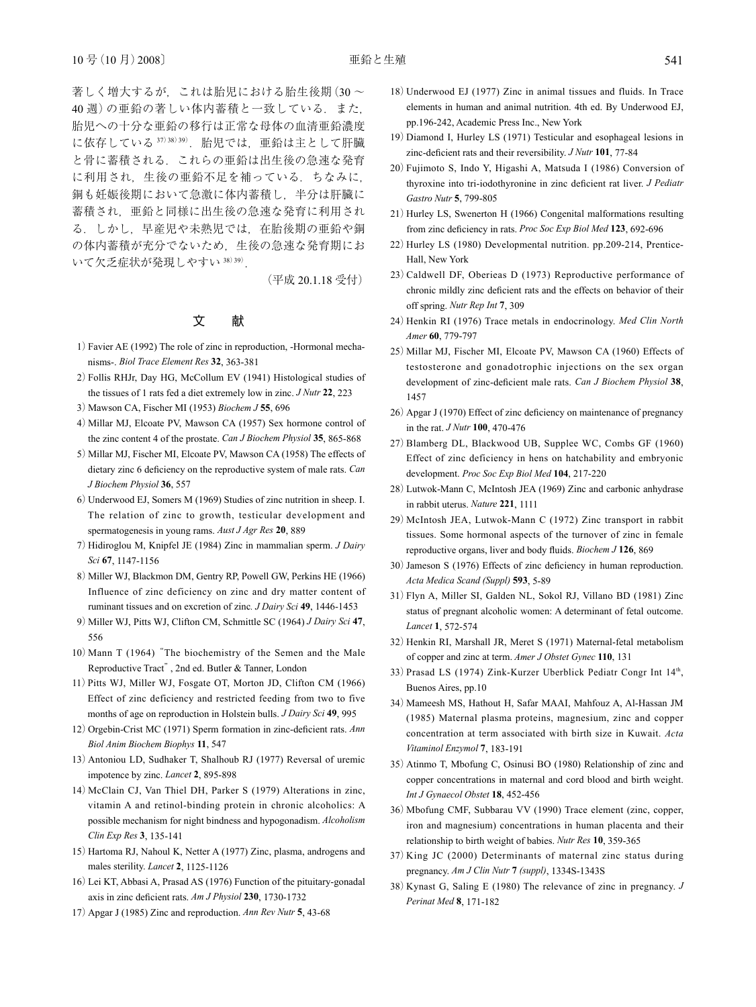著しく増大するが、これは胎児における胎生後期 $(30 \sim$ 40 週)の亜鉛の著しい体内蓄積と一致している.また, 胎児への十分な亜鉛の移行は正常な母体の血清亜鉛濃度 に依存している 37)38)39). 胎児では、亜鉛は主として肝臓 と骨に蓄積される.これらの亜鉛は出生後の急速な発育 に利用され,生後の亜鉛不足を補っている.ちなみに, 銅も妊娠後期において急激に体内蓄積し,半分は肝臓に 蓄積され,亜鉛と同様に出生後の急速な発育に利用され る.しかし,早産児や未熟児では,在胎後期の亜鉛や銅 の体内蓄積が充分でないため,生後の急速な発育期にお いて欠乏症状が発現しやすい 38) 39).

(平成 20.1.18 受付)

### 文 献

- 1)Favier AE (1992) The role of zinc in reproduction, -Hormonal mechanisms-. *Biol Trace Element Res* **32**, 363-381
- 2)Follis RHJr, Day HG, McCollum EV (1941) Histological studies of the tissues of 1 rats fed a diet extremely low in zinc. *J Nutr* **22**, 223
- 3)Mawson CA, Fischer MI (1953) *Biochem J* **55**, 696
- 4)Millar MJ, Elcoate PV, Mawson CA (1957) Sex hormone control of the zinc content 4 of the prostate. *Can J Biochem Physiol* **35**, 865-868
- 5) Millar MJ, Fischer MI, Elcoate PV, Mawson CA (1958) The effects of dietary zinc 6 deficiency on the reproductive system of male rats. *Can J Biochem Physiol* **36**, 557
- 6)Underwood EJ, Somers M (1969) Studies of zinc nutrition in sheep. I. The relation of zinc to growth, testicular development and spermatogenesis in young rams. *Aust J Agr Res* **20**, 889
- 7)Hidiroglou M, Knipfel JE (1984) Zinc in mammalian sperm. *J Dairy Sci* **67**, 1147-1156
- 8) Miller WJ, Blackmon DM, Gentry RP, Powell GW, Perkins HE (1966) Influence of zinc deficiency on zinc and dry matter content of ruminant tissues and on excretion of zinc*. J Dairy Sci* **49**, 1446-1453
- 9)Miller WJ, Pitts WJ, Clifton CM, Schmittle SC (1964) *J Dairy Sci* **47**, 556
- 10)Mann T (1964)"The biochemistry of the Semen and the Male Reproductive Tract", 2nd ed. Butler & Tanner, London
- 11)Pitts WJ, Miller WJ, Fosgate OT, Morton JD, Clifton CM (1966) Effect of zinc deficiency and restricted feeding from two to five months of age on reproduction in Holstein bulls. *J Dairy Sci* **49**, 995
- 12)Orgebin-Crist MC (1971) Sperm formation in zinc-deficient rats. *Ann Biol Anim Biochem Biophys* **11**, 547
- 13)Antoniou LD, Sudhaker T, Shalhoub RJ (1977) Reversal of uremic impotence by zinc. *Lancet* **2**, 895-898
- 14)McClain CJ, Van Thiel DH, Parker S (1979) Alterations in zinc, vitamin A and retinol-binding protein in chronic alcoholics: A possible mechanism for night bindness and hypogonadism. *Alcoholism Clin Exp Res* **3**, 135-141
- 15)Hartoma RJ, Nahoul K, Netter A (1977) Zinc, plasma, androgens and males sterility. *Lancet* **2**, 1125-1126
- 16)Lei KT, Abbasi A, Prasad AS (1976) Function of the pituitary-gonadal axis in zinc deficient rats. *Am J Physiol* **230**, 1730-1732
- 17)Apgar J (1985) Zinc and reproduction. *Ann Rev Nutr* **5**, 43-68
- 18)Underwood EJ (1977) Zinc in animal tissues and fluids. In Trace elements in human and animal nutrition. 4th ed. By Underwood EJ, pp.196-242, Academic Press Inc., New York
- 19)Diamond I, Hurley LS (1971) Testicular and esophageal lesions in zinc-deficient rats and their reversibility. *J Nutr* **101**, 77-84
- 20)Fujimoto S, Indo Y, Higashi A, Matsuda I (1986) Conversion of thyroxine into tri-iodothyronine in zinc deficient rat liver. *J Pediatr Gastro Nutr* **5**, 799-805
- 21) Hurley LS, Swenerton H (1966) Congenital malformations resulting from zinc deficiency in rats. *Proc Soc Exp Biol Med* **123**, 692-696
- 22)Hurley LS (1980) Developmental nutrition. pp.209-214, Prentice-Hall, New York
- 23)Caldwell DF, Oberieas D (1973) Reproductive performance of chronic mildly zinc deficient rats and the effects on behavior of their off spring. *Nutr Rep Int* **7**, 309
- 24) Henkin RI (1976) Trace metals in endocrinology. *Med Clin North Amer* **60**, 779-797
- 25) Millar MJ, Fischer MI, Elcoate PV, Mawson CA (1960) Effects of testosterone and gonadotrophic injections on the sex organ development of zinc-deficient male rats. *Can J Biochem Physiol* **38**, 1457
- 26)Apgar J (1970) Effect of zinc deficiency on maintenance of pregnancy in the rat. *J Nutr* **100**, 470-476
- 27)Blamberg DL, Blackwood UB, Supplee WC, Combs GF (1960) Effect of zinc deficiency in hens on hatchability and embryonic development. *Proc Soc Exp Biol Med* **104**, 217-220
- 28)Lutwok-Mann C, McIntosh JEA (1969) Zinc and carbonic anhydrase in rabbit uterus. *Nature* **221**, 1111
- 29)McIntosh JEA, Lutwok-Mann C (1972) Zinc transport in rabbit tissues. Some hormonal aspects of the turnover of zinc in female reproductive organs, liver and body fluids. *Biochem J* **126**, 869
- 30)Jameson S (1976) Effects of zinc deficiency in human reproduction. *Acta Medica Scand (Suppl)* **593**, 5-89
- 31)Flyn A, Miller SI, Galden NL, Sokol RJ, Villano BD (1981) Zinc status of pregnant alcoholic women: A determinant of fetal outcome. *Lancet* **1**, 572-574
- 32) Henkin RI, Marshall JR, Meret S (1971) Maternal-fetal metabolism of copper and zinc at term. *Amer J Obstet Gynec* **110**, 131
- 33) Prasad LS (1974) Zink-Kurzer Uberblick Pediatr Congr Int 14<sup>th</sup>, Buenos Aires, pp.10
- 34) Mameesh MS, Hathout H, Safar MAAI, Mahfouz A, Al-Hassan JM (1985) Maternal plasma proteins, magnesium, zinc and copper concentration at term associated with birth size in Kuwait. *Acta Vitaminol Enzymol* **7**, 183-191
- 35)Atinmo T, Mbofung C, Osinusi BO (1980) Relationship of zinc and copper concentrations in maternal and cord blood and birth weight. *Int J Gynaecol Obstet* **18**, 452-456
- 36)Mbofung CMF, Subbarau VV (1990) Trace element (zinc, copper, iron and magnesium) concentrations in human placenta and their relationship to birth weight of babies. *Nutr Res* **10**, 359-365
- 37)King JC (2000) Determinants of maternal zinc status during pregnancy. *Am J Clin Nutr* **7** *(suppl)*, 1334S-1343S
- 38)Kynast G, Saling E (1980) The relevance of zinc in pregnancy. *J Perinat Med* **8**, 171-182